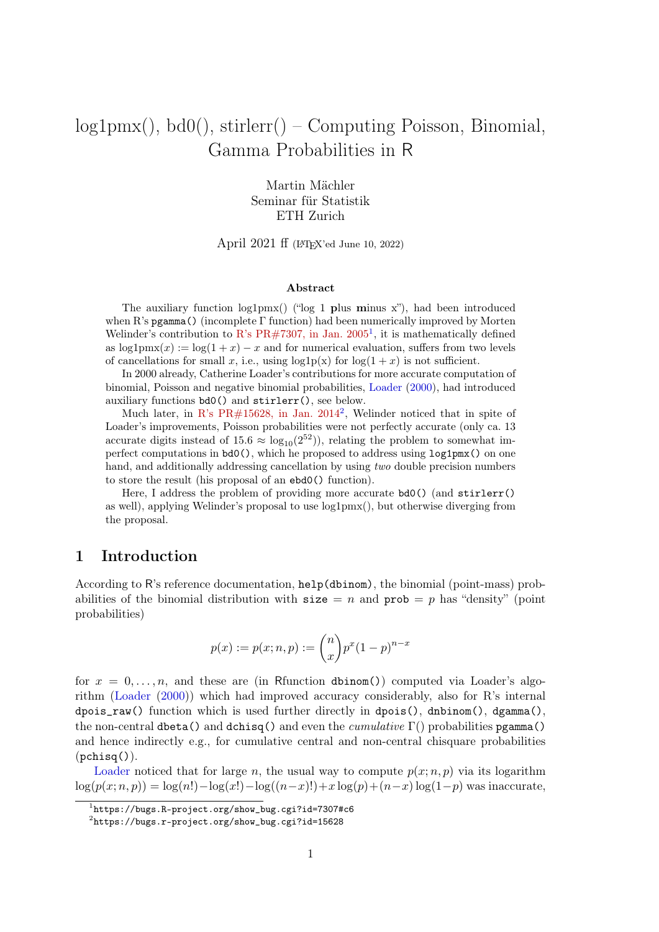# <span id="page-0-2"></span>log1pmx(), bd0(), stirlerr() – Computing Poisson, Binomial, Gamma Probabilities in R

Martin Mächler Seminar für Statistik ETH Zurich

April 2021 ff (L<sup>A</sup>TEX'ed June 10, 2022)

#### Abstract

The auxiliary function  $log1pmx()$  (" $log 1$  plus minus x"), had been introduced when R's pgamma() (incomplete Γ function) had been numerically improved by Morten Welinder's contribution to R's PR#[7307, in Jan. 2005](https://bugs.R-project.org/show_bug.cgi?id=7307#c6)<sup>[1](#page-0-0)</sup>, it is mathematically defined as  $\log 1pmx(x) := \log(1+x) - x$  and for numerical evaluation, suffers from two levels of cancellations for small x, i.e., using  $log1p(x)$  for  $log(1 + x)$  is not sufficient.

In 2000 already, Catherine Loader's contributions for more accurate computation of binomial, Poisson and negative binomial probabilities, [Loader](#page-7-0) [\(2000\)](#page-7-0), had introduced auxiliary functions bd0() and stirlerr(), see below.

Much later, in R's PR#[15628, in Jan. 2014](https://bugs.r-project.org/show_bug.cgi?id=15628)<sup>[2](#page-0-1)</sup>, Welinder noticed that in spite of Loader's improvements, Poisson probabilities were not perfectly accurate (only ca. 13 accurate digits instead of 15.6  $\approx \log_{10}(2^{52})$ , relating the problem to somewhat imperfect computations in bd0(), which he proposed to address using log1pmx() on one hand, and additionally addressing cancellation by using two double precision numbers to store the result (his proposal of an ebd0() function).

Here, I address the problem of providing more accurate bd0() (and stirlerr() as well), applying Welinder's proposal to use log1pmx(), but otherwise diverging from the proposal.

### 1 Introduction

According to R's reference documentation, help(dbinom), the binomial (point-mass) probabilities of the binomial distribution with  $size = n$  and  $prob = p$  has "density" (point probabilities)

$$
p(x) := p(x; n, p) := {n \choose x} p^{x} (1-p)^{n-x}
$$

for  $x = 0, \ldots, n$ , and these are (in Rfunction dbinom()) computed via Loader's algorithm [\(Loader](#page-7-0) [\(2000\)](#page-7-0)) which had improved accuracy considerably, also for R's internal dpois\_raw() function which is used further directly in dpois(), dnbinom(), dgamma(), the non-central dbeta() and dchisq() and even the *cumulative*  $\Gamma$ () probabilities pgamma() and hence indirectly e.g., for cumulative central and non-central chisquare probabilities  $(pchisq()$ .

[Loader](#page-7-0) noticed that for large n, the usual way to compute  $p(x; n, p)$  via its logarithm  $log(p(x; n, p)) = log(n!) - log(x!) - log((n-x)!) + x log(p) + (n-x) log(1-p)$  was inaccurate,

<span id="page-0-0"></span> $1$ https://bugs.R-project.org/show\_bug.cgi?id=7307#c6

<span id="page-0-1"></span><sup>2</sup> https://bugs.r-project.org/show\_bug.cgi?id=15628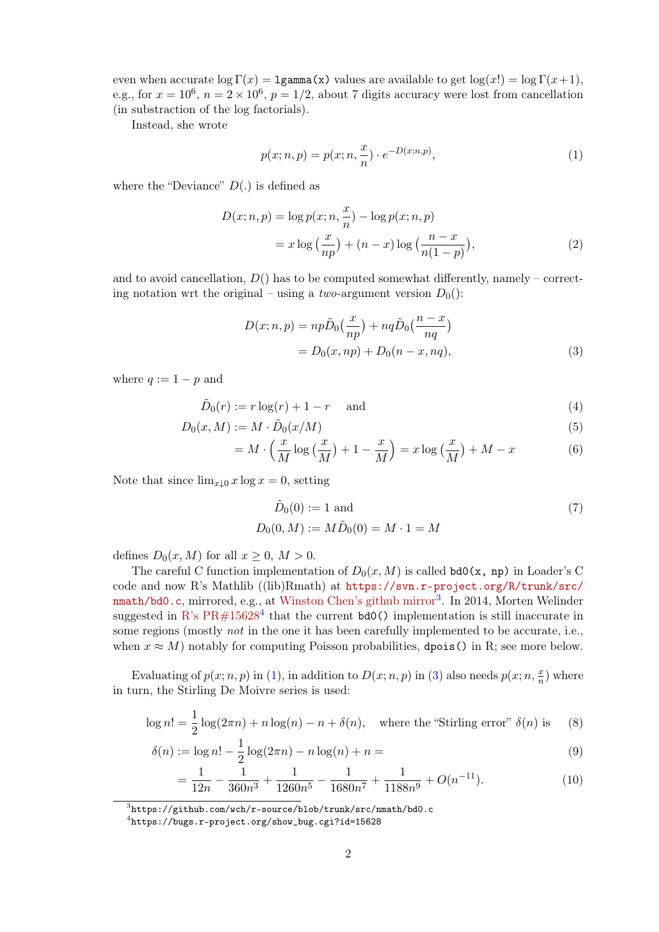even when accurate  $\log \Gamma(x) = 1$ gamma(x) values are available to get  $\log(x!) = \log \Gamma(x+1)$ , e.g., for  $x = 10^6$ ,  $n = 2 \times 10^6$ ,  $p = 1/2$ , about 7 digits accuracy were lost from cancellation (in substraction of the log factorials).

Instead, she wrote

<span id="page-1-2"></span>
$$
p(x; n, p) = p(x; n, \frac{x}{n}) \cdot e^{-D(x; n, p)},
$$
\n(1)

where the "Deviance"  $D(.)$  is defined as

$$
D(x; n, p) = \log p(x; n, \frac{x}{n}) - \log p(x; n, p)
$$
  
=  $x \log \left(\frac{x}{np}\right) + (n - x) \log \left(\frac{n - x}{n(1 - p)}\right),$  (2)

and to avoid cancellation,  $D()$  has to be computed somewhat differently, namely – correcting notation wrt the original – using a *two*-argument version  $D_0$ ):

<span id="page-1-3"></span>
$$
D(x; n, p) = np\tilde{D}_0\left(\frac{x}{np}\right) + nq\tilde{D}_0\left(\frac{n-x}{nq}\right)
$$

$$
= D_0(x, np) + D_0(n-x, nq), \tag{3}
$$

where  $q := 1 - p$  and

$$
\tilde{D}_0(r) := r \log(r) + 1 - r \quad \text{and} \tag{4}
$$

$$
D_0(x, M) := M \cdot \tilde{D}_0(x/M) \tag{5}
$$

$$
= M \cdot \left(\frac{x}{M}\log\left(\frac{x}{M}\right) + 1 - \frac{x}{M}\right) = x\log\left(\frac{x}{M}\right) + M - x \tag{6}
$$

Note that since  $\lim_{x\downarrow 0} x \log x = 0$ , setting

<span id="page-1-7"></span><span id="page-1-6"></span><span id="page-1-5"></span><span id="page-1-4"></span>
$$
\tilde{D}_0(0) := 1 \text{ and } \nD_0(0, M) := M \tilde{D}_0(0) = M \cdot 1 = M
$$
\n(7)

defines  $D_0(x, M)$  for all  $x \geq 0$ ,  $M > 0$ .

The careful C function implementation of  $D_0(x, M)$  is called bd0(x, np) in Loader's C code and now R's Mathlib ((lib)Rmath) at [https://svn.r-project.org/R/trunk/src/](https://svn.r-project.org/R/trunk/src/nmath/bd0.c) [nmath/bd0.c](https://svn.r-project.org/R/trunk/src/nmath/bd0.c), mirrored, e.g., at [Winston Chen's github mirror](https://github.com/wch/r-source/blob/trunk/src/nmath/bd0.c)<sup>[3](#page-1-0)</sup>. In 2014, Morten Welinder suggested in R's  $PR#15628^4$  $PR#15628^4$  that the current **bd0()** implementation is still inaccurate in some regions (mostly not in the one it has been carefully implemented to be accurate, i.e., when  $x \approx M$ ) notably for computing Poisson probabilities, dpois() in R; see more below.

Evaluating of  $p(x; n, p)$  in [\(1\)](#page-1-2), in addition to  $D(x; n, p)$  in [\(3\)](#page-1-3) also needs  $p(x; n, \frac{x}{n})$  where in turn, the Stirling De Moivre series is used:

$$
\log n! = \frac{1}{2}\log(2\pi n) + n\log(n) - n + \delta(n), \quad \text{where the "Stirling error" } \delta(n) \text{ is } \quad (8)
$$

$$
\delta(n) := \log n! - \frac{1}{2}\log(2\pi n) - n\log(n) + n = \tag{9}
$$

$$
= \frac{1}{12n} - \frac{1}{360n^3} + \frac{1}{1260n^5} - \frac{1}{1680n^7} + \frac{1}{1188n^9} + O(n^{-11}).
$$
 (10)

<span id="page-1-0"></span> $^3$ https://github.com/wch/r-source/blob/trunk/src/nmath/bd0.c

<span id="page-1-1"></span><sup>4</sup> https://bugs.r-project.org/show\_bug.cgi?id=15628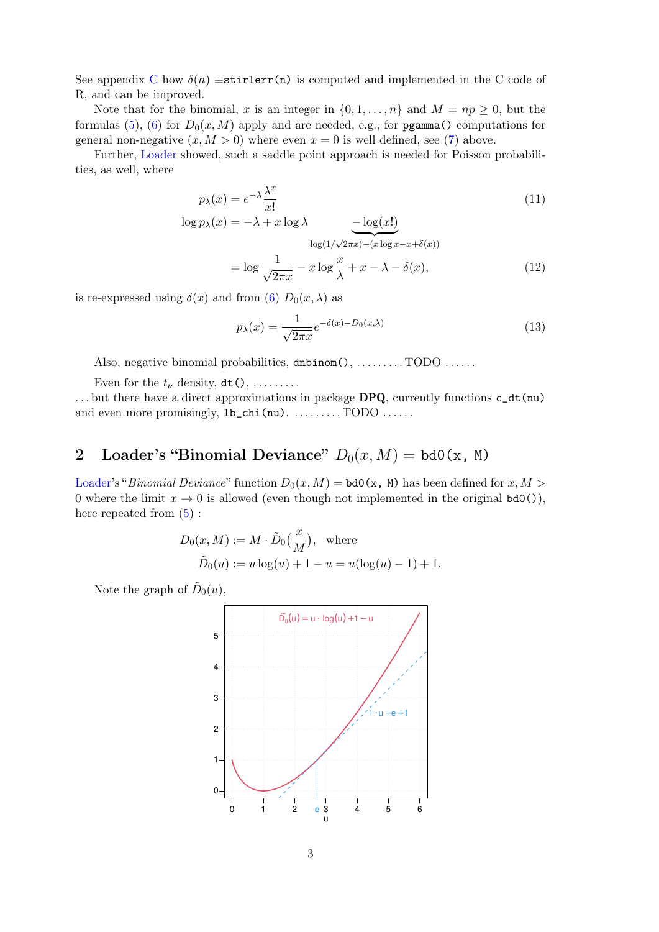See appendix [C](#page-6-0) how  $\delta(n)$  ≡stirlerr(n) is computed and implemented in the C code of R, and can be improved.

Note that for the binomial, x is an integer in  $\{0, 1, \ldots, n\}$  and  $M = np \geq 0$ , but the formulas [\(5\)](#page-1-4), [\(6\)](#page-1-5) for  $D_0(x, M)$  apply and are needed, e.g., for pgamma() computations for general non-negative  $(x, M > 0)$  where even  $x = 0$  is well defined, see [\(7\)](#page-1-6) above.

Further, [Loader](#page-7-0) showed, such a saddle point approach is needed for Poisson probabilities, as well, where

$$
p_{\lambda}(x) = e^{-\lambda} \frac{\lambda^x}{x!}
$$
  

$$
\log p_{\lambda}(x) = -\lambda + x \log \lambda \qquad -\log(x!) \tag{11}
$$

$$
\log(1/\sqrt{2\pi x}) - (x \log x - x + \delta(x))
$$
  
=  $\log \frac{1}{\sqrt{2\pi x}} - x \log \frac{x}{\lambda} + x - \lambda - \delta(x),$  (12)

is re-expressed using  $\delta(x)$  and from [\(6\)](#page-1-5)  $D_0(x, \lambda)$  as

$$
p_{\lambda}(x) = \frac{1}{\sqrt{2\pi x}} e^{-\delta(x) - D_0(x,\lambda)}
$$
\n(13)

Also, negative binomial probabilities, dnbinom(), ........TODO ......

Even for the  $t_{\nu}$  density,  $dt$  (), ........

... but there have a direct approximations in package DPQ, currently functions  $c_d t(nu)$ and even more promisingly,  $1b_{\text{c}}$ chi(nu). ........TODO .....

## <span id="page-2-0"></span>2 Loader's "Binomial Deviance"  $D_0(x, M) = bd0(x, M)$

[Loader'](#page-7-0)s "Binomial Deviance" function  $D_0(x, M) =$  bd0(x, M) has been defined for x, M > 0 where the limit  $x \to 0$  is allowed (even though not implemented in the original  $bd0()$ ), here repeated from  $(5)$ :

$$
D_0(x, M) := M \cdot \tilde{D}_0(\frac{x}{M}), \text{ where}
$$
  

$$
\tilde{D}_0(u) := u \log(u) + 1 - u = u(\log(u) - 1) + 1.
$$

Note the graph of  $\tilde{D}_0(u)$ ,

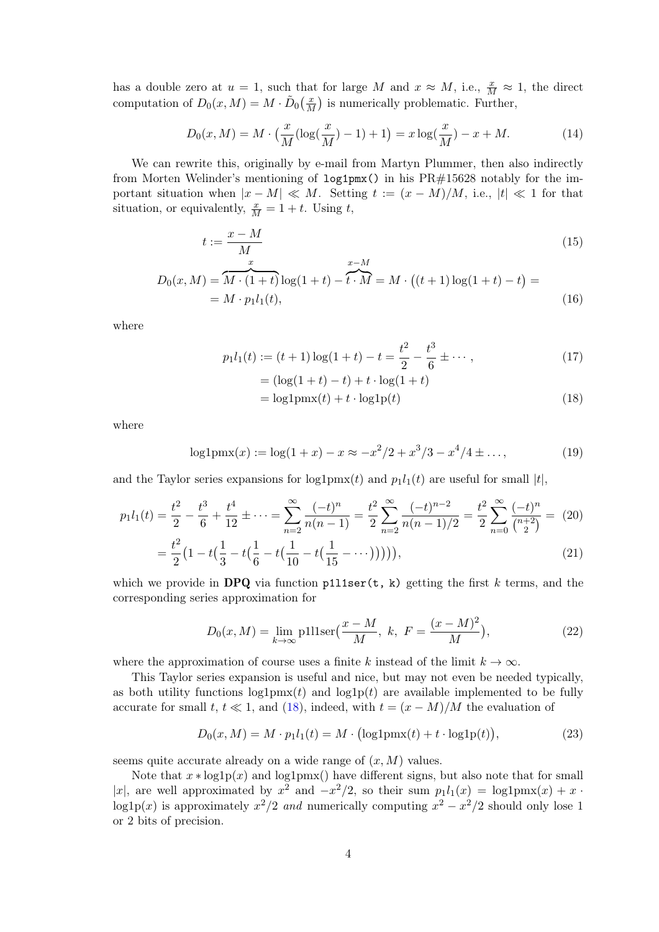has a double zero at  $u = 1$ , such that for large M and  $x \approx M$ , i.e.,  $\frac{x}{M} \approx 1$ , the direct computation of  $D_0(x, M) = M \cdot \tilde{D}_0(\frac{x}{M})$  $\frac{x}{M}$ ) is numerically problematic. Further,

$$
D_0(x, M) = M \cdot \left(\frac{x}{M} (\log(\frac{x}{M}) - 1) + 1\right) = x \log(\frac{x}{M}) - x + M. \tag{14}
$$

We can rewrite this, originally by e-mail from Martyn Plummer, then also indirectly from Morten Welinder's mentioning of log1pmx() in his PR#15628 notably for the important situation when  $|x - M| \ll M$ . Setting  $t := (x - M)/M$ , i.e.,  $|t| \ll 1$  for that situation, or equivalently,  $\frac{x}{M} = 1 + t$ . Using t,

$$
t := \frac{x - M}{M}
$$
  
\n
$$
D_0(x, M) = \overbrace{M \cdot (1 + t)}^x \log(1 + t) - \overbrace{t \cdot M}^x = M \cdot ((t + 1) \log(1 + t) - t) =
$$
\n(15)

where

$$
p_1 l_1(t) := (t+1)\log(1+t) - t = \frac{t^2}{2} - \frac{t^3}{6} \pm \cdots,
$$
  
=  $(\log(1+t) - t) + t \cdot \log(1+t)$  (17)

 $= M \cdot p_1 l_1(t),$  (16)

<span id="page-3-5"></span><span id="page-3-4"></span><span id="page-3-3"></span><span id="page-3-2"></span><span id="page-3-0"></span>
$$
= \log 1 \text{pmx}(t) + t \cdot \log 1 \text{p}(t)
$$
\n(18)

where

$$
log1pmx(x) := log(1+x) - x \approx -x^2/2 + x^3/3 - x^4/4 \pm \dots,
$$
\n(19)

and the Taylor series expansions for  $log1pmx(t)$  and  $p_1l_1(t)$  are useful for small |t|,

$$
p_1 l_1(t) = \frac{t^2}{2} - \frac{t^3}{6} + \frac{t^4}{12} \pm \dots = \sum_{n=2}^{\infty} \frac{(-t)^n}{n(n-1)} = \frac{t^2}{2} \sum_{n=2}^{\infty} \frac{(-t)^{n-2}}{n(n-1)/2} = \frac{t^2}{2} \sum_{n=0}^{\infty} \frac{(-t)^n}{\binom{n+2}{2}} = (20)
$$

$$
= \frac{t^2}{2} \left(1 - t\left(\frac{1}{3} - t\left(\frac{1}{6} - t\left(\frac{1}{10} - t\left(\frac{1}{15} - \dots\right)\right)\right)\right)\right),\tag{21}
$$

which we provide in DPQ via function  $p111ser(t, k)$  getting the first k terms, and the corresponding series approximation for

$$
D_0(x, M) = \lim_{k \to \infty} \text{plllser}\left(\frac{x - M}{M}, \ k, \ F = \frac{(x - M)^2}{M}\right),\tag{22}
$$

where the approximation of course uses a finite k instead of the limit  $k \to \infty$ .

This Taylor series expansion is useful and nice, but may not even be needed typically, as both utility functions  $log1pmx(t)$  and  $log1p(t)$  are available implemented to be fully accurate for small t,  $t \ll 1$ , and [\(18\)](#page-3-0), indeed, with  $t = (x - M)/M$  the evaluation of

<span id="page-3-1"></span>
$$
D_0(x, M) = M \cdot p_1 l_1(t) = M \cdot (\log 1 \text{pm}(t) + t \cdot \log 1 \text{p}(t)),\tag{23}
$$

seems quite accurate already on a wide range of  $(x, M)$  values.

Note that  $x * log1p(x)$  and  $log1pmx()$  have different signs, but also note that for small |x|, are well approximated by  $x^2$  and  $-x^2/2$ , so their sum  $p_1l_1(x) = \log 1$ pmx $(x) + x$ . log1p(x) is approximately  $x^2/2$  and numerically computing  $x^2 - x^2/2$  should only lose 1 or 2 bits of precision.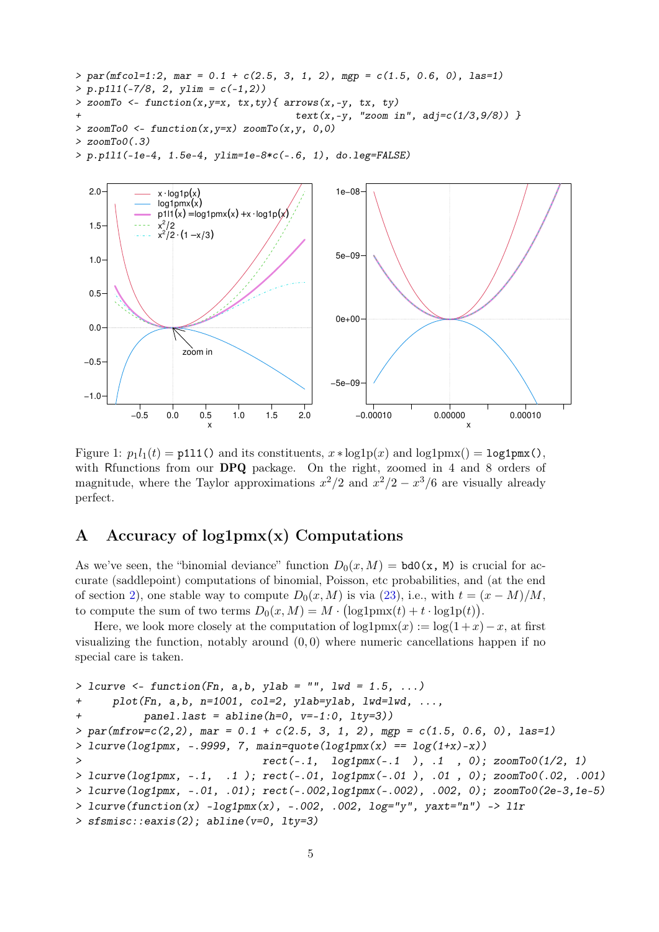```
> par(mfcol=1:2, mar = 0.1 + c(2.5, 3, 1, 2), mgp = c(1.5, 0.6, 0), las=1)
> p.p1l1(-7/8, 2, ylim = c(-1,2))
> zoomTo <- function(x,y=x, tx,ty){ arrows(x,-y, tx, ty)
                                       + text(x,-y, "zoom in", adj=c(1/3,9/8)) }
> zoomTo0 <- function(x,y=x) zoomTo(x,y, 0,0)
> zoomTo0(.3)
> p.p1l1(-1e-4, 1.5e-4, ylim=1e-8*c(-.6, 1), do.leg=FALSE)
```


Figure 1:  $p_1l_1(t) = \text{p111}$  () and its constituents,  $x * \log 1p(x)$  and  $\log 1pmx() = \log 1pmx()$ , with Rfunctions from our **DPQ** package. On the right, zoomed in 4 and 8 orders of magnitude, where the Taylor approximations  $x^2/2$  and  $x^2/2 - x^3/6$  are visually already perfect.

## A Accuracy of  $log1pmx(x)$  Computations

As we've seen, the "binomial deviance" function  $D_0(x, M) = bd0(x, M)$  is crucial for accurate (saddlepoint) computations of binomial, Poisson, etc probabilities, and (at the end of section [2\)](#page-2-0), one stable way to compute  $D_0(x, M)$  is via [\(23\)](#page-3-1), i.e., with  $t = (x - M)/M$ , to compute the sum of two terms  $D_0(x, M) = M \cdot (\log 1 \text{pmx}(t) + t \cdot \log 1 \text{p}(t)).$ 

Here, we look more closely at the computation of  $\log 1pmx(x) := \log(1+x)-x$ , at first visualizing the function, notably around  $(0, 0)$  where numeric cancellations happen if no special care is taken.

```
> lcurve <- function(Fn, a,b, ylab = "", lwd = 1.5, ...)
+ plot(Fn, a,b, n=1001, col=2, ylab=ylab, lwd=lwd, ...,
+ panel.last = abline(h=0, v=-1:0, lty=3))
> par(mfrow=c(2,2), mar = 0.1 + c(2.5, 3, 1, 2), mgp = c(1.5, 0.6, 0), las=1)
> lcurve(log1pmx, -.9999, 7, main=quote(log1pmx(x) == log(1+x)-x))
> rect(-.1, log1pmx(-.1 ), .1 , 0); zoomTo0(1/2, 1)
> lcurve(log1pmx, -.1, .1 ); rect(-.01, log1pmx(-.01 ), .01 , 0); zoomTo0(.02, .001)
> lcurve(log1pmx, -.01, .01); rect(-.002,log1pmx(-.002), .002, 0); zoomTo0(2e-3,1e-5)
> lcurve(function(x) -log1pmx(x), -.002, .002, log="y", yaxt="n") -> l1r
> sfsmisc::eaxis(2); abline(v=0, lty=3)
```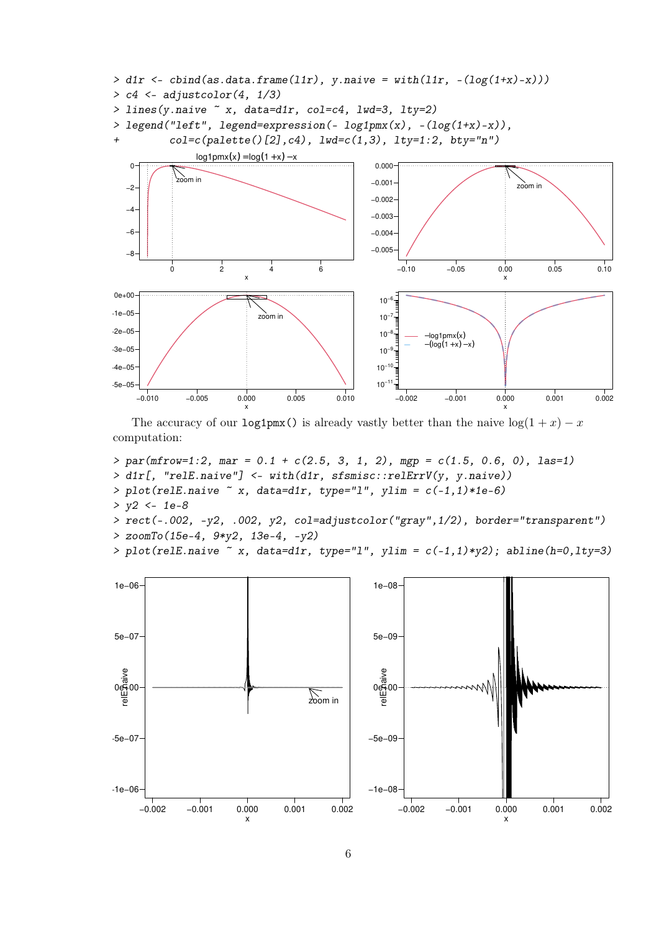

The accuracy of our log1pmx() is already vastly better than the naive  $log(1 + x) - x$ computation:

*> par(mfrow=1:2, mar = 0.1 + c(2.5, 3, 1, 2), mgp = c(1.5, 0.6, 0), las=1) > d1r[, "relE.naive"] <- with(d1r, sfsmisc::relErrV(y, y.naive)) > plot(relE.naive ~ x, data=d1r, type="l", ylim = c(-1,1)\*1e-6) > y2 <- 1e-8 > rect(-.002, -y2, .002, y2, col=adjustcolor("gray",1/2), border="transparent") > zoomTo(15e-4, 9\*y2, 13e-4, -y2)*



*> plot(relE.naive ~ x, data=d1r, type="l", ylim = c(-1,1)\*y2); abline(h=0,lty=3)*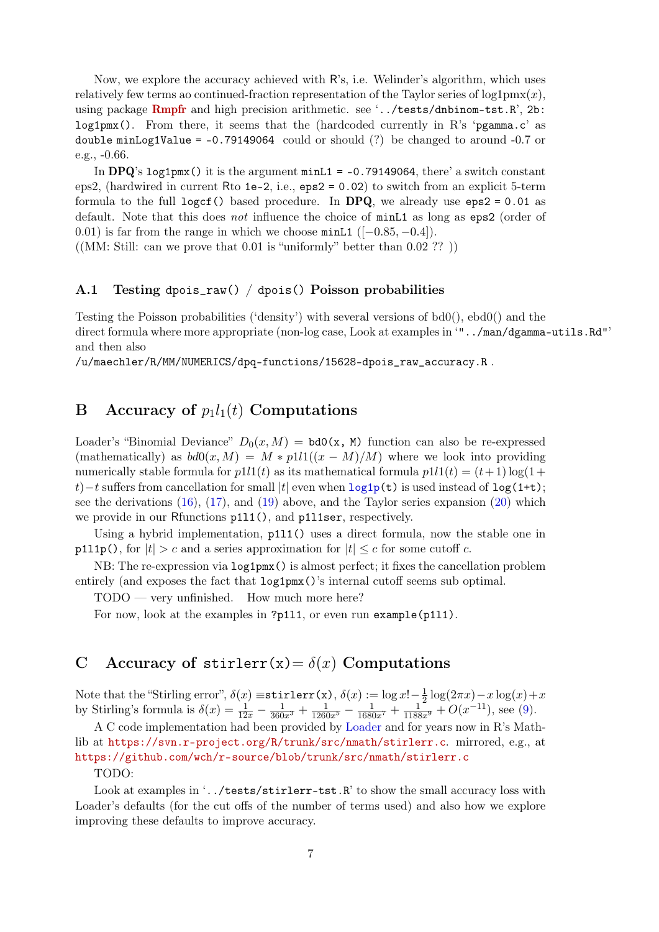Now, we explore the accuracy achieved with R's, i.e. Welinder's algorithm, which uses relatively few terms ao continued-fraction representation of the Taylor series of  $log1pmx(x)$ , using package [Rmpfr](https://CRAN.R-project.org/package=Rmpfr) and high precision arithmetic. see '../tests/dnbinom-tst.R', 2b: log1pmx(). From there, it seems that the (hardcoded currently in R's 'pgamma.c' as double minLog1Value =  $-0.79149064$  could or should (?) be changed to around  $-0.7$  or e.g., -0.66.

In DPQ's log1pmx() it is the argument  $minL1 = -0.79149064$ , there' a switch constant eps2, (hardwired in current Rto 1e-2, i.e., eps2 = 0.02) to switch from an explicit 5-term formula to the full logcf() based procedure. In DPQ, we already use  $eps2 = 0.01$  as default. Note that this does not influence the choice of minL1 as long as eps2 (order of 0.01) is far from the range in which we choose  $minL1$  ([-0.85, -0.4]).

 $((MM: Still: can we prove that 0.01 is "uniformly" better than 0.02 ??$ )

#### A.1 Testing dpois\_raw() / dpois() Poisson probabilities

Testing the Poisson probabilities ('density') with several versions of bd0(), ebd0() and the direct formula where more appropriate (non-log case, Look at examples in '"../man/dgamma-utils.Rd"' and then also

/u/maechler/R/MM/NUMERICS/dpq-functions/15628-dpois\_raw\_accuracy.R .

### B Accuracy of  $p_1l_1(t)$  Computations

Loader's "Binomial Deviance"  $D_0(x, M) = bd0(x, M)$  function can also be re-expressed (mathematically) as  $bd0(x, M) = M * p111((x - M)/M)$  where we look into providing numerically stable formula for  $p1l1(t)$  as its mathematical formula  $p1l1(t) = (t+1) \log(1+t)$ t)−t suffers from cancellation for small |t| even when  $\text{log1p(t)}$  $\text{log1p(t)}$  $\text{log1p(t)}$  is used instead of  $\text{log}(1+t)$ ; see the derivations [\(16\)](#page-3-2), [\(17\)](#page-3-3), and [\(19\)](#page-3-4) above, and the Taylor series expansion [\(20\)](#page-3-5) which we provide in our Rfunctions  $p111()$ , and  $p111ser$ , respectively.

Using a hybrid implementation,  $p111()$  uses a direct formula, now the stable one in p111p(), for  $|t| > c$  and a series approximation for  $|t| \leq c$  for some cutoff c.

NB: The re-expression via log1pmx() is almost perfect; it fixes the cancellation problem entirely (and exposes the fact that  $\log 1pm(x)$ )'s internal cutoff seems sub optimal.

TODO — very unfinished. How much more here?

For now, look at the examples in ?p111, or even run example(p111).

## <span id="page-6-0"></span>C Accuracy of stirlerr(x) =  $\delta(x)$  Computations

Note that the "Stirling error",  $\delta(x) \equiv \texttt{stirlerr}(x)$ ,  $\delta(x) := \log x! - \frac{1}{2}$  $\frac{1}{2}\log(2\pi x)-x\log(x)+x$ by Stirling's formula is  $\delta(x) = \frac{1}{12x} - \frac{1}{360x^3} + \frac{1}{1260x^5} - \frac{1}{1680x^7} + \frac{1}{1188x^9} + O(x^{-11}),$  see [\(9\)](#page-1-7).

A C code implementation had been provided by [Loader](#page-7-0) and for years now in R's Mathlib at <https://svn.r-project.org/R/trunk/src/nmath/stirlerr.c>. mirrored, e.g., at <https://github.com/wch/r-source/blob/trunk/src/nmath/stirlerr.c>

#### TODO:

Look at examples in '../tests/stirlerr-tst.R' to show the small accuracy loss with Loader's defaults (for the cut offs of the number of terms used) and also how we explore improving these defaults to improve accuracy.